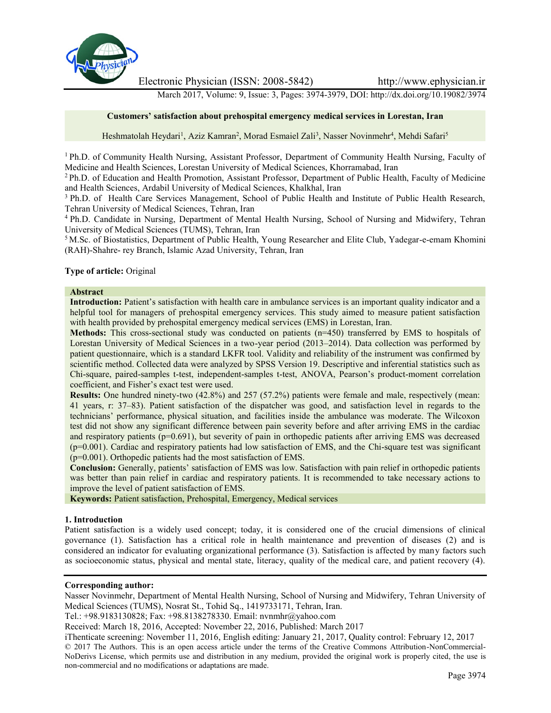

Electronic Physician (ISSN: 2008-5842) http://www.ephysician.ir

March 2017, Volume: 9, Issue: 3, Pages: 3974-3979, DOI: http://dx.doi.org/10.19082/3974

#### **Customers' satisfaction about prehospital emergency medical services in Lorestan, Iran**

Heshmatolah Heydari<sup>1</sup>, Aziz Kamran<sup>2</sup>, Morad Esmaiel Zali<sup>3</sup>, Nasser Novinmehr<sup>4</sup>, Mehdi Safari<sup>5</sup>

<sup>1</sup> Ph.D. of Community Health Nursing, Assistant Professor, Department of Community Health Nursing, Faculty of Medicine and Health Sciences, Lorestan University of Medical Sciences, Khorramabad, Iran

<sup>2</sup> Ph.D. of Education and Health Promotion, Assistant Professor, Department of Public Health, Faculty of Medicine and Health Sciences, Ardabil University of Medical Sciences, Khalkhal, Iran

<sup>3</sup> Ph.D. of Health Care Services Management, School of Public Health and Institute of Public Health Research, Tehran University of Medical Sciences, Tehran, Iran

<sup>4</sup> Ph.D. Candidate in Nursing, Department of Mental Health Nursing, School of Nursing and Midwifery, Tehran University of Medical Sciences (TUMS), Tehran, Iran

<sup>5</sup> M.Sc. of Biostatistics, Department of Public Health, Young Researcher and Elite Club, Yadegar-e-emam Khomini (RAH)-Shahre- rey Branch, Islamic Azad University, Tehran, Iran

#### **Type of article:** Original

#### **Abstract**

**Introduction:** Patient's satisfaction with health care in ambulance services is an important quality indicator and a helpful tool for managers of prehospital emergency services. This study aimed to measure patient satisfaction with health provided by prehospital emergency medical services (EMS) in Lorestan, Iran.

**Methods:** This cross-sectional study was conducted on patients (n=450) transferred by EMS to hospitals of Lorestan University of Medical Sciences in a two-year period (2013–2014). Data collection was performed by patient questionnaire, which is a standard LKFR tool. Validity and reliability of the instrument was confirmed by scientific method. Collected data were analyzed by SPSS Version 19. Descriptive and inferential statistics such as Chi-square, paired-samples t-test, independent-samples t-test, ANOVA, Pearson's product-moment correlation coefficient, and Fisher's exact test were used.

**Results:** One hundred ninety-two (42.8%) and 257 (57.2%) patients were female and male, respectively (mean: 41 years, r: 37–83). Patient satisfaction of the dispatcher was good, and satisfaction level in regards to the technicians' performance, physical situation, and facilities inside the ambulance was moderate. The Wilcoxon test did not show any significant difference between pain severity before and after arriving EMS in the cardiac and respiratory patients ( $p=0.691$ ), but severity of pain in orthopedic patients after arriving EMS was decreased  $(p=0.001)$ . Cardiac and respiratory patients had low satisfaction of EMS, and the Chi-square test was significant (p=0.001). Orthopedic patients had the most satisfaction of EMS.

**Conclusion:** Generally, patients' satisfaction of EMS was low. Satisfaction with pain relief in orthopedic patients was better than pain relief in cardiac and respiratory patients. It is recommended to take necessary actions to improve the level of patient satisfaction of EMS.

**Keywords:** Patient satisfaction, Prehospital, Emergency, Medical services

#### **1. Introduction**

Patient satisfaction is a widely used concept; today, it is considered one of the crucial dimensions of clinical governance (1). Satisfaction has a critical role in health maintenance and prevention of diseases (2) and is considered an indicator for evaluating organizational performance (3). Satisfaction is affected by many factors such as socioeconomic status, physical and mental state, literacy, quality of the medical care, and patient recovery (4).

#### **Corresponding author:**

Nasser Novinmehr, Department of Mental Health Nursing, School of Nursing and Midwifery, Tehran University of Medical Sciences (TUMS), Nosrat St., Tohid Sq., 1419733171, Tehran, Iran.

Tel.: +98.9183130828; Fax: +98.8138278330. Email: nvnmhr@yahoo.com

Received: March 18, 2016, Accepted: November 22, 2016, Published: March 2017

iThenticate screening: November 11, 2016, English editing: January 21, 2017, Quality control: February 12, 2017 © 2017 The Authors. This is an open access article under the terms of the Creative Commons Attribution-NonCommercial- NoDerivs License, which permits use and distribution in any medium, provided the original work is properly cited, the use is non-commercial and no modifications or adaptations are made.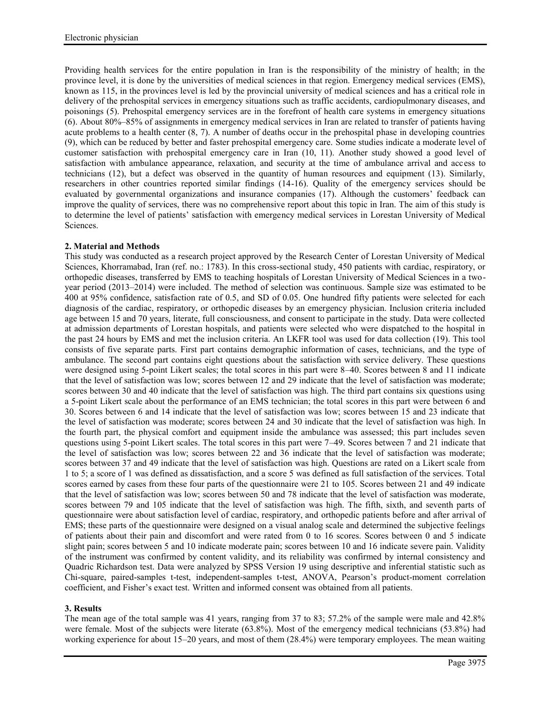Providing health services for the entire population in Iran is the responsibility of the ministry of health; in the province level, it is done by the universities of medical sciences in that region. Emergency medical services (EMS), known as 115, in the provinces level is led by the provincial university of medical sciences and has a critical role in delivery of the prehospital services in emergency situations such as traffic accidents, cardiopulmonary diseases, and poisonings (5). Prehospital emergency services are in the forefront of health care systems in emergency situations (6). About 80%–85% of assignments in emergency medical services in Iran are related to transfer of patients having acute problems to a health center (8, 7). A number of deaths occur in the prehospital phase in developing countries (9), which can be reduced by better and faster prehospital emergency care. Some studies indicate a moderate level of customer satisfaction with prehospital emergency care in Iran (10, 11). Another study showed a good level of satisfaction with ambulance appearance, relaxation, and security at the time of ambulance arrival and access to technicians (12), but a defect was observed in the quantity of human resources and equipment (13). Similarly, researchers in other countries reported similar findings (14-16). Quality of the emergency services should be evaluated by governmental organizations and insurance companies (17). Although the customers' feedback can improve the quality of services, there was no comprehensive report about this topic in Iran. The aim of this study is to determine the level of patients' satisfaction with emergency medical services in Lorestan University of Medical Sciences.

# **2. Material and Methods**

This study was conducted as a research project approved by the Research Center of Lorestan University of Medical Sciences, Khorramabad, Iran (ref. no.: 1783). In this cross-sectional study, 450 patients with cardiac, respiratory, or orthopedic diseases, transferred by EMS to teaching hospitals of Lorestan University of Medical Sciences in a two year period (2013–2014) were included. The method of selection was continuous. Sample size was estimated to be 400 at 95% confidence, satisfaction rate of 0.5, and SD of 0.05. One hundred fifty patients were selected for each diagnosis of the cardiac, respiratory, or orthopedic diseases by an emergency physician. Inclusion criteria included age between 15 and 70 years, literate, full consciousness, and consent to participate in the study. Data were collected at admission departments of Lorestan hospitals, and patients were selected who were dispatched to the hospital in the past 24 hours by EMS and met the inclusion criteria. An LKFR tool was used for data collection (19). This tool consists of five separate parts. First part contains demographic information of cases, technicians, and the type of ambulance. The second part contains eight questions about the satisfaction with service delivery. These questions were designed using 5-point Likert scales; the total scores in this part were 8–40. Scores between 8 and 11 indicate that the level of satisfaction was low; scores between 12 and 29 indicate that the level of satisfaction was moderate; scores between 30 and 40 indicate that the level of satisfaction was high. The third part contains six questions using a 5-point Likert scale about the performance of an EMS technician; the total scores in this part were between 6 and 30. Scores between 6 and 14 indicate that the level of satisfaction was low; scores between 15 and 23 indicate that the level of satisfaction was moderate; scores between 24 and 30 indicate that the level of satisfaction was high. In the fourth part, the physical comfort and equipment inside the ambulance was assessed; this part includes seven questions using 5-point Likert scales. The total scores in this part were 7–49. Scores between 7 and 21 indicate that the level of satisfaction was low; scores between 22 and 36 indicate that the level of satisfaction was moderate; scores between 37 and 49 indicate that the level of satisfaction was high. Questions are rated on a Likert scale from 1 to 5; a score of 1 was defined as dissatisfaction, and a score 5 was defined as full satisfaction of the services. Total scores earned by cases from these four parts of the questionnaire were 21 to 105. Scores between 21 and 49 indicate that the level of satisfaction was low; scores between 50 and 78 indicate that the level of satisfaction was moderate, scores between 79 and 105 indicate that the level of satisfaction was high. The fifth, sixth, and seventh parts of questionnaire were about satisfaction level of cardiac, respiratory, and orthopedic patients before and after arrival of EMS; these parts of the questionnaire were designed on a visual analog scale and determined the subjective feelings of patients about their pain and discomfort and were rated from 0 to 16 scores. Scores between 0 and 5 indicate slight pain; scores between 5 and 10 indicate moderate pain; scores between 10 and 16 indicate severe pain. Validity of the instrument was confirmed by content validity, and its reliability was confirmed by internal consistency and Quadric Richardson test. Data were analyzed by SPSS Version 19 using descriptive and inferential statistic such as Chi-square, paired-samples t-test, independent-samples t-test, ANOVA, Pearson's product-moment correlation coefficient, and Fisher's exact test. Written and informed consent was obtained from all patients.

## **3. Results**

The mean age of the total sample was 41 years, ranging from 37 to 83; 57.2% of the sample were male and 42.8% were female. Most of the subjects were literate (63.8%). Most of the emergency medical technicians (53.8%) had working experience for about 15–20 years, and most of them  $(28.4\%)$  were temporary employees. The mean waiting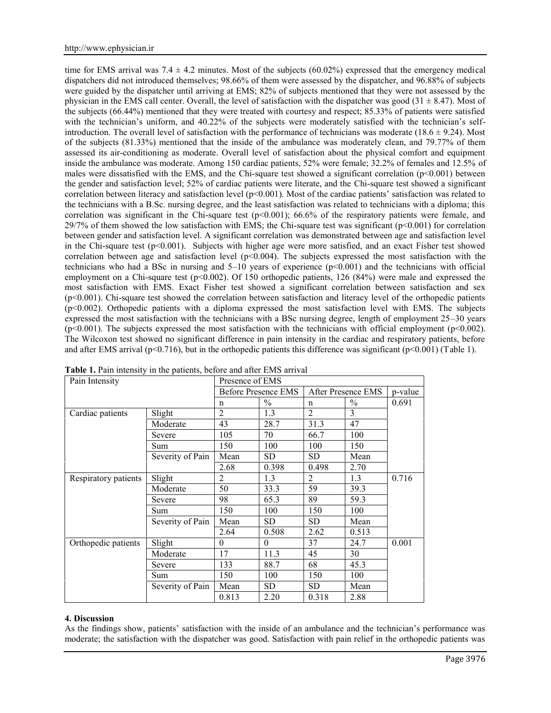time for EMS arrival was  $7.4 \pm 4.2$  minutes. Most of the subjects (60.02%) expressed that the emergency medical dispatchers did not introduced themselves; 98.66% of them were assessed by the dispatcher, and 96.88% of subjects were guided by the dispatcher until arriving at EMS; 82% of subjects mentioned that they were not assessed by the physician in the EMS call center. Overall, the level of satisfaction with the dispatcher was good  $(31 \pm 8.47)$ . Most of the subjects (66.44%) mentioned that they were treated with courtesy and respect; 85.33% of patients were satisfied with the technician's uniform, and 40.22% of the subjects were moderately satisfied with the technician's selfintroduction. The overall level of satisfaction with the performance of technicians was moderate  $(18.6 \pm 9.24)$ . Most of the subjects (81.33%) mentioned that the inside of the ambulance was moderately clean, and 79.77% of them assessed its air-conditioning as moderate. Overall level of satisfaction about the physical comfort and equipment inside the ambulance was moderate. Among 150 cardiac patients, 52% were female; 32.2% of females and 12.5% of males were dissatisfied with the EMS, and the Chi-square test showed a significant correlation ( $p<0.001$ ) between the gender and satisfaction level; 52% of cardiac patients were literate, and the Chi-square test showed a significant correlation between literacy and satisfaction level ( $p<0.001$ ). Most of the cardiac patients' satisfaction was related to the technicians with a B.Sc. nursing degree, and the least satisfaction was related to technicians with a diploma; this correlation was significant in the Chi-square test  $(p<0.001)$ ; 66.6% of the respiratory patients were female, and  $29/7\%$  of them showed the low satisfaction with EMS; the Chi-square test was significant ( $p<0.001$ ) for correlation between gender and satisfaction level. A significant correlation was demonstrated between age and satisfaction level in the Chi-square test  $(p<0.001)$ . Subjects with higher age were more satisfied, and an exact Fisher test showed correlation between age and satisfaction level  $(p< 0.004)$ . The subjects expressed the most satisfaction with the technicians who had a BSc in nursing and  $5-10$  years of experience  $(p<0.001)$  and the technicians with official employment on a Chi-square test (p<0.002). Of 150 orthopedic patients, 126 (84%) were male and expressed the most satisfaction with EMS. Exact Fisher test showed a significant correlation between satisfaction and sex (p<0.001). Chi-square test showed the correlation between satisfaction and literacy level of the orthopedic patients (p<0.002). Orthopedic patients with a diploma expressed the most satisfaction level with EMS. The subjects expressed the most satisfaction with the technicians with a BSc nursing degree, length of employment 25–30 years  $(p<0.001)$ . The subjects expressed the most satisfaction with the technicians with official employment  $(p<0.002)$ . The Wilcoxon test showed no significant difference in pain intensity in the cardiac and respiratory patients, before and after EMS arrival ( $p<0.716$ ), but in the orthopedic patients this difference was significant ( $p<0.001$ ) (Table 1).

| Pain Intensity       |                  | Presence of EMS            |           |                    |       |         |  |
|----------------------|------------------|----------------------------|-----------|--------------------|-------|---------|--|
|                      |                  | <b>Before Presence EMS</b> |           | After Presence EMS |       | p-value |  |
|                      |                  | n                          | $\%$      | n                  | $\%$  | 0.691   |  |
| Cardiac patients     | Slight           | $\overline{2}$             | 1.3       | $\overline{2}$     | 3     |         |  |
|                      | Moderate         | 43                         | 28.7      | 31.3               | 47    |         |  |
|                      | Severe           | 105                        | 70        | 66.7               | 100   |         |  |
|                      | Sum              | 150                        | 100       | 100                | 150   |         |  |
|                      | Severity of Pain | Mean                       | <b>SD</b> | <b>SD</b>          | Mean  |         |  |
|                      |                  | 2.68                       | 0.398     | 0.498              | 2.70  |         |  |
| Respiratory patients | Slight           | $\overline{2}$             | 1.3       | 2                  | 1.3   | 0.716   |  |
|                      | Moderate         | 50                         | 33.3      | 59                 | 39.3  |         |  |
|                      | Severe           | 98                         | 65.3      | 89                 | 59.3  |         |  |
|                      | Sum              | 150                        | 100       | 150                | 100   |         |  |
|                      | Severity of Pain | Mean                       | <b>SD</b> | SD.                | Mean  |         |  |
|                      |                  | 2.64                       | 0.508     | 2.62               | 0.513 |         |  |
| Orthopedic patients  | Slight           | $\theta$                   | $\theta$  | 37                 | 24.7  | 0.001   |  |
|                      | Moderate         | 17                         | 11.3      | 45                 | 30    |         |  |
|                      | Severe           | 133                        | 88.7      | 68                 | 45.3  |         |  |
|                      | Sum              | 150                        | 100       | 150                | 100   |         |  |
|                      | Severity of Pain | Mean                       | SD.       | <b>SD</b>          | Mean  |         |  |
|                      |                  | 0.813                      | 2.20      | 0.318              | 2.88  |         |  |

|  |  |  |  | <b>Table 1.</b> Pain intensity in the patients, before and after EMS arrival |  |  |
|--|--|--|--|------------------------------------------------------------------------------|--|--|
|--|--|--|--|------------------------------------------------------------------------------|--|--|

## **4. Discussion**

As the findings show, patients' satisfaction with the inside of an ambulance and the technician's performance was moderate; the satisfaction with the dispatcher was good. Satisfaction with pain relief in the orthopedic patients was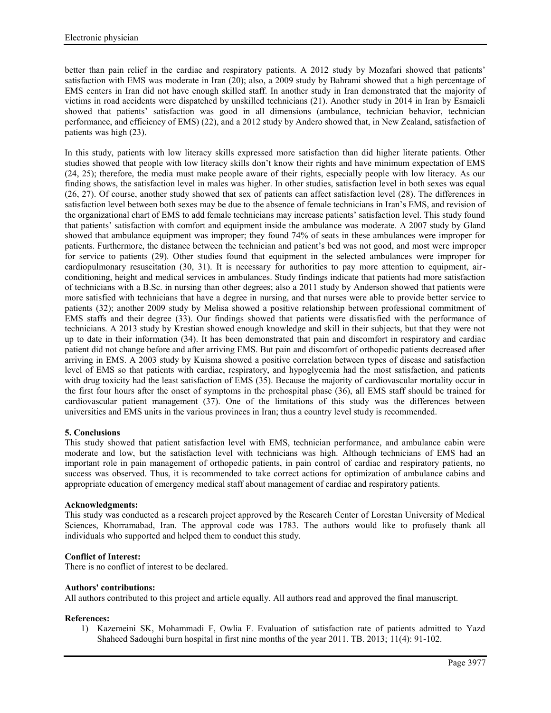better than pain relief in the cardiac and respiratory patients. A 2012 study by Mozafari showed that patients' satisfaction with EMS was moderate in Iran (20); also, a 2009 study by Bahrami showed that a high percentage of EMS centers in Iran did not have enough skilled staff. In another study in Iran demonstrated that the majority of victims in road accidents were dispatched by unskilled technicians (21). Another study in 2014 in Iran by Esmaieli showed that patients' satisfaction was good in all dimensions (ambulance, technician behavior, technician performance, and efficiency of EMS) (22), and a 2012 study by Andero showed that, in New Zealand, satisfaction of patients was high (23).

In this study, patients with low literacy skills expressed more satisfaction than did higher literate patients. Other studies showed that people with low literacy skills don't know their rights and have minimum expectation of EMS (24, 25); therefore, the media must make people aware of their rights, especially people with low literacy. As our finding shows, the satisfaction level in males was higher. In other studies, satisfaction level in both sexes was equal (26, 27). Of course, another study showed that sex of patients can affect satisfaction level (28). The differences in satisfaction level between both sexes may be due to the absence of female technicians in Iran's EMS, and revision of the organizational chart of EMS to add female technicians may increase patients' satisfaction level. This study found that patients' satisfaction with comfort and equipment inside the ambulance was moderate. A 2007 study by Gland showed that ambulance equipment was improper; they found 74% of seats in these ambulances were improper for patients. Furthermore, the distance between the technician and patient's bed was not good, and most were improper for service to patients (29). Other studies found that equipment in the selected ambulances were improper for cardiopulmonary resuscitation (30, 31). It is necessary for authorities to pay more attention to equipment, air conditioning, height and medical services in ambulances. Study findings indicate that patients had more satisfaction of technicians with a B.Sc. in nursing than other degrees; also a 2011 study by Anderson showed that patients were more satisfied with technicians that have a degree in nursing, and that nurses were able to provide better service to patients (32); another 2009 study by Melisa showed a positive relationship between professional commitment of EMS staffs and their degree (33). Our findings showed that patients were dissatisfied with the performance of technicians. A 2013 study by Krestian showed enough knowledge and skill in their subjects, but that they were not up to date in their information (34). It has been demonstrated that pain and discomfort in respiratory and cardiac patient did not change before and after arriving EMS. But pain and discomfort of orthopedic patients decreased after arriving in EMS. A 2003 study by Kuisma showed a positive correlation between types of disease and satisfaction level of EMS so that patients with cardiac, respiratory, and hypoglycemia had the most satisfaction, and patients with drug toxicity had the least satisfaction of EMS (35). Because the majority of cardiovascular mortality occur in the first four hours after the onset of symptoms in the prehospital phase (36), all EMS staff should be trained for cardiovascular patient management (37). One of the limitations of this study was the differences between universities and EMS units in the various provinces in Iran; thus a country level study is recommended.

## **5. Conclusions**

This study showed that patient satisfaction level with EMS, technician performance, and ambulance cabin were moderate and low, but the satisfaction level with technicians was high. Although technicians of EMS had an important role in pain management of orthopedic patients, in pain control of cardiac and respiratory patients, no success was observed. Thus, it is recommended to take correct actions for optimization of ambulance cabins and appropriate education of emergency medical staff about management of cardiac and respiratory patients.

## **Acknowledgments:**

This study was conducted as a research project approved by the Research Center of Lorestan University of Medical Sciences, Khorramabad, Iran. The approval code was 1783. The authors would like to profusely thank all individuals who supported and helped them to conduct this study.

## **Conflict of Interest:**

There is no conflict of interest to be declared.

## **Authors' contributions:**

All authors contributed to this project and article equally. All authors read and approved the final manuscript.

## **References:**

1) Kazemeini SK, Mohammadi F, Owlia F. Evaluation of satisfaction rate of patients admitted to Yazd Shaheed Sadoughi burn hospital in first nine months of the year 2011. TB. 2013; 11(4): 91-102.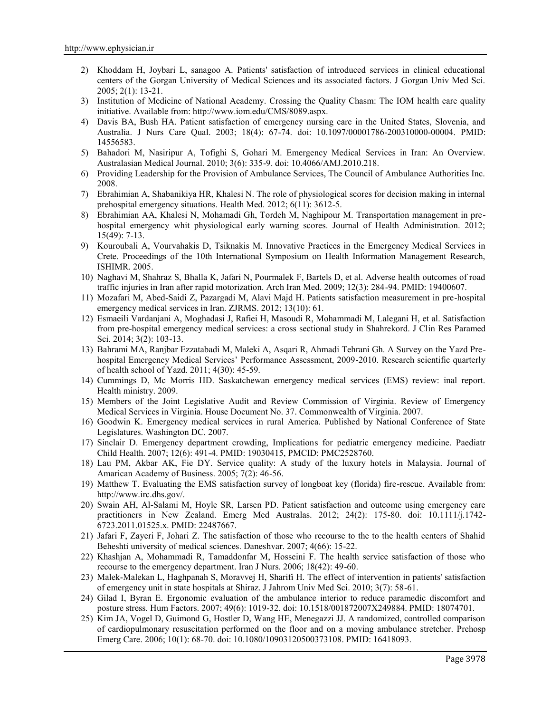- 2) Khoddam H, Joybari L, sanagoo A. Patients' satisfaction of introduced services in clinical educational centers of the Gorgan University of Medical Sciences and its associated factors. J Gorgan Univ Med Sci. 2005; 2(1): 13-21.
- 3) Institution of Medicine of National Academy. Crossing the Quality Chasm: The IOM health care quality initiative. Available from: http://www.iom.edu/CMS/8089.aspx.
- 4) Davis BA, Bush HA. Patient satisfaction of emergency nursing care in the United States, Slovenia, and Australia. J Nurs Care Qual. 2003; 18(4): 67-74. doi: 10.1097/00001786-200310000-00004. PMID: 14556583.
- 5) Bahadori M, Nasiripur A, Tofighi S, Gohari M. Emergency Medical Services in Iran: An Overview. Australasian Medical Journal. 2010; 3(6): 335-9. doi: 10.4066/AMJ.2010.218.
- 6) Providing Leadership for the Provision of Ambulance Services, The Council of Ambulance Authorities Inc. 2008.
- 7) Ebrahimian A, Shabanikiya HR, Khalesi N. The role of physiological scores for decision making in internal prehospital emergency situations. Health Med. 2012; 6(11): 3612-5.
- 8) Ebrahimian AA, Khalesi N, Mohamadi Gh, Tordeh M, Naghipour M. Transportation management in pre hospital emergency whit physiological early warning scores. Journal of Health Administration. 2012; 15(49): 7-13.
- 9) Kouroubali A, Vourvahakis D, Tsiknakis M. Innovative Practices in the Emergency Medical Services in Crete. Proceedings of the 10th International Symposium on Health Information Management Research, ISHIMR. 2005.
- 10) Naghavi M, Shahraz S, Bhalla K, Jafari N, Pourmalek F, Bartels D, et al. Adverse health outcomes of road traffic injuries in Iran after rapid motorization. Arch Iran Med. 2009; 12(3): 284-94. PMID: 19400607.
- 11) Mozafari M, Abed-Saidi Z, Pazargadi M, Alavi Majd H. Patients satisfaction measurement in pre-hospital emergency medical services in Iran. ZJRMS. 2012; 13(10): 61.
- 12) Esmaeili Vardanjani A, Moghadasi J, Rafiei H, Masoudi R, Mohammadi M, Lalegani H, et al. Satisfaction from pre-hospital emergency medical services: a cross sectional study in Shahrekord. J Clin Res Paramed Sci. 2014; 3(2): 103-13.
- 13) Bahrami MA, Ranjbar Ezzatabadi M, Maleki A, Asqari R, Ahmadi Tehrani Gh. A Survey on the Yazd Pre hospital Emergency Medical Services' Performance Assessment, 2009-2010. Research scientific quarterly of health school of Yazd. 2011; 4(30): 45-59.
- 14) Cummings D, Mc Morris HD. Saskatchewan emergency medical services (EMS) review: inal report. Health ministry. 2009.
- 15) Members of the Joint Legislative Audit and Review Commission of Virginia. Review of Emergency Medical Services in Virginia. House Document No. 37. Commonwealth of Virginia. 2007.
- 16) Goodwin K. Emergency medical services in rural America. Published by National Conference of State Legislatures. Washington DC. 2007.
- 17) Sinclair D. Emergency department crowding, Implications for pediatric emergency medicine. Paediatr Child Health. 2007; 12(6): 491-4. PMID: 19030415, PMCID: PMC2528760.
- 18) Lau PM, Akbar AK, Fie DY. Service quality: A study of the luxury hotels in Malaysia. Journal of Amarican Academy of Business. 2005; 7(2): 46-56.
- 19) Matthew T. Evaluating the EMS satisfaction survey of longboat key (florida) fire-rescue. Available from: http://www.irc.dhs.gov/.
- 20) Swain AH, Al-Salami M, Hoyle SR, Larsen PD. Patient satisfaction and outcome using emergency care practitioners in New Zealand. Emerg Med Australas. 2012; 24(2): 175-80. doi: 10.1111/j.1742- 6723.2011.01525.x. PMID: 22487667.
- 21) Jafari F, Zayeri F, Johari Z. The satisfaction of those who recourse to the to the health centers of Shahid Beheshti university of medical sciences. Daneshvar. 2007; 4(66): 15-22.
- 22) Khashjan A, Mohammadi R, Tamaddonfar M, Hosseini F. The health service satisfaction of those who recourse to the emergency department. Iran J Nurs. 2006; 18(42): 49-60.
- 23) Malek-Malekan L, Haghpanah S, Moravvej H, Sharifi H. The effect of intervention in patients' satisfaction of emergency unit in state hospitals at Shiraz. J Jahrom Univ Med Sci. 2010; 3(7): 58-61.
- 24) Gilad I, Byran E. Ergonomic evaluation of the ambulance interior to reduce paramedic discomfort and posture stress. Hum Factors. 2007; 49(6): 1019-32. doi: 10.1518/001872007X249884. PMID: 18074701.
- 25) Kim JA, Vogel D, Guimond G, Hostler D, Wang HE, Menegazzi JJ. A randomized, controlled comparison of cardiopulmonary resuscitation performed on the floor and on a moving ambulance stretcher. Prehosp Emerg Care. 2006; 10(1): 68-70. doi: 10.1080/10903120500373108. PMID: 16418093.